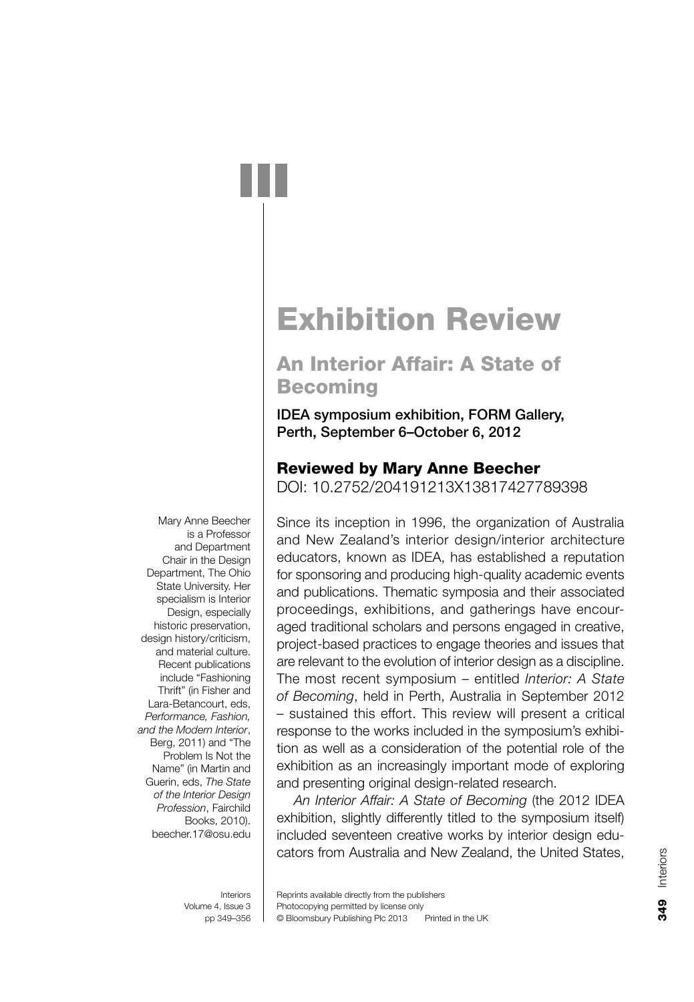# **Exhibition Review**

# **An Interior Affair: A State of Becoming**

**IDEA symposium exhibition, FORM Gallery,** Perth, September 6-October 6, 2012

# **Reviewed by Mary Anne Beecher**

DOI: 10.2752/204191213X13817427789398

Since its inception in 1996, the organization of Australia and New Zealand's interior design/interior architecture educators, known as IDEA, has established a reputation for sponsoring and producing high-quality academic events and publications. Thematic symposia and their associated proceedings, exhibitions, and gatherings have encouraged traditional scholars and persons engaged in creative, project-based practices to engage theories and issues that are relevant to the evolution of interior design as a discipline. The most recent symposium – entitled Interior: A State of Becoming, held in Perth, Australia in September 2012 - sustained this effort. This review will present a critical response to the works included in the symposium's exhibition as well as a consideration of the potential role of the exhibition as an increasingly important mode of exploring and presenting original design-related research.

An Interior Affair: A State of Becoming (the 2012 IDEA exhibition, slightly differently titled to the symposium itself) included seventeen creative works by interior design educators from Australia and New Zealand, the United States,

Mary Anne Beecher is a Professor and Department Chair in the Design Department. The Ohio State University. Her specialism is Interior Design, especially historic preservation, design history/criticism, and material culture. Recent publications include "Fashioning Thrift" (in Fisher and Lara-Betancourt, eds, Performance, Fashion, and the Modern Interior. Berg, 2011) and "The Problem Is Not the Name" (in Martin and Guerin, eds, The State of the Interior Design Profession, Fairchild Books, 2010). beecher.17@osu.edu

Interiors Volume 4, Issue 3 pp 349-356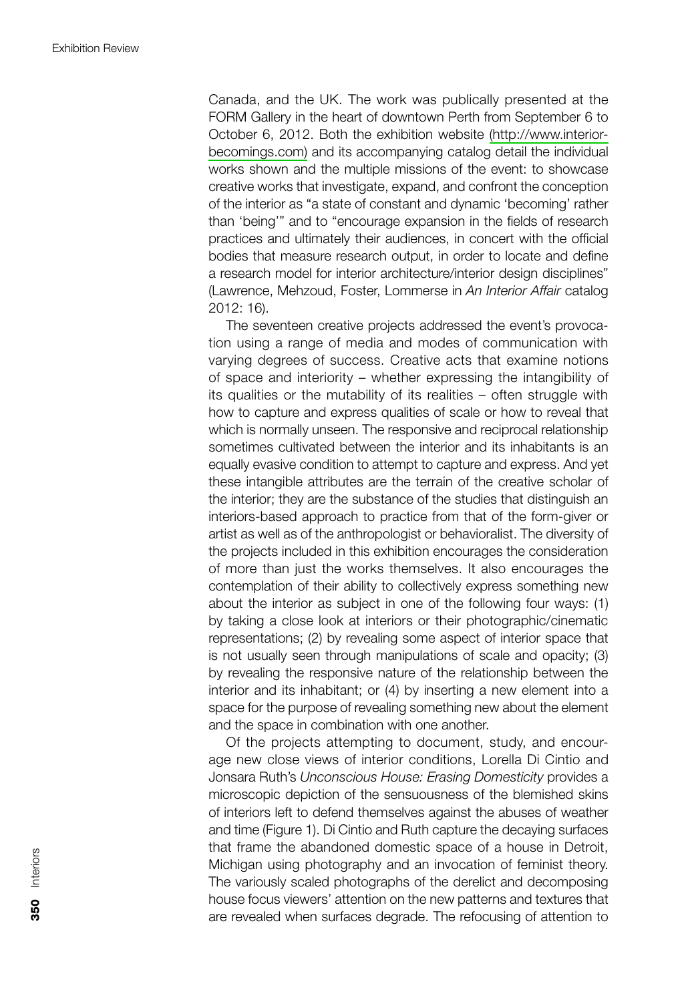Canada, and the UK. The work was publically presented at the FORM Gallery in the heart of downtown Perth from September 6 to October 6, 2012. Both the exhibition website (http://www.interiorbecomings.com) and its accompanying catalog detail the individual works shown and the multiple missions of the event: to showcase creative works that investigate, expand, and confront the conception of the interior as "a state of constant and dynamic 'becoming' rather than 'being'" and to "encourage expansion in the fields of research practices and ultimately their audiences, in concert with the official bodies that measure research output, in order to locate and define a research model for interior architecture/interior design disciplines" (Lawrence, Mehzoud, Foster, Lommerse in An Interior Affair catalog 2012: 16).

The seventeen creative projects addressed the event's provocation using a range of media and modes of communication with varying degrees of success. Creative acts that examine notions of space and interiority - whether expressing the intangibility of its qualities or the mutability of its realities - often struggle with how to capture and express qualities of scale or how to reveal that which is normally unseen. The responsive and reciprocal relationship sometimes cultivated between the interior and its inhabitants is an equally evasive condition to attempt to capture and express. And yet these intangible attributes are the terrain of the creative scholar of the interior; they are the substance of the studies that distinguish an interiors-based approach to practice from that of the form-giver or artist as well as of the anthropologist or behavioralist. The diversity of the projects included in this exhibition encourages the consideration of more than just the works themselves. It also encourages the contemplation of their ability to collectively express something new about the interior as subject in one of the following four ways: (1) by taking a close look at interiors or their photographic/cinematic representations; (2) by revealing some aspect of interior space that is not usually seen through manipulations of scale and opacity; (3) by revealing the responsive nature of the relationship between the interior and its inhabitant; or (4) by inserting a new element into a space for the purpose of revealing something new about the element and the space in combination with one another.

Of the projects attempting to document, study, and encourage new close views of interior conditions, Lorella Di Cintio and Jonsara Ruth's Unconscious House: Erasing Domesticity provides a microscopic depiction of the sensuousness of the blemished skins of interiors left to defend themselves against the abuses of weather and time (Figure 1). Di Cintio and Ruth capture the decaying surfaces that frame the abandoned domestic space of a house in Detroit, Michigan using photography and an invocation of feminist theory. The variously scaled photographs of the derelict and decomposing house focus viewers' attention on the new patterns and textures that are revealed when surfaces degrade. The refocusing of attention to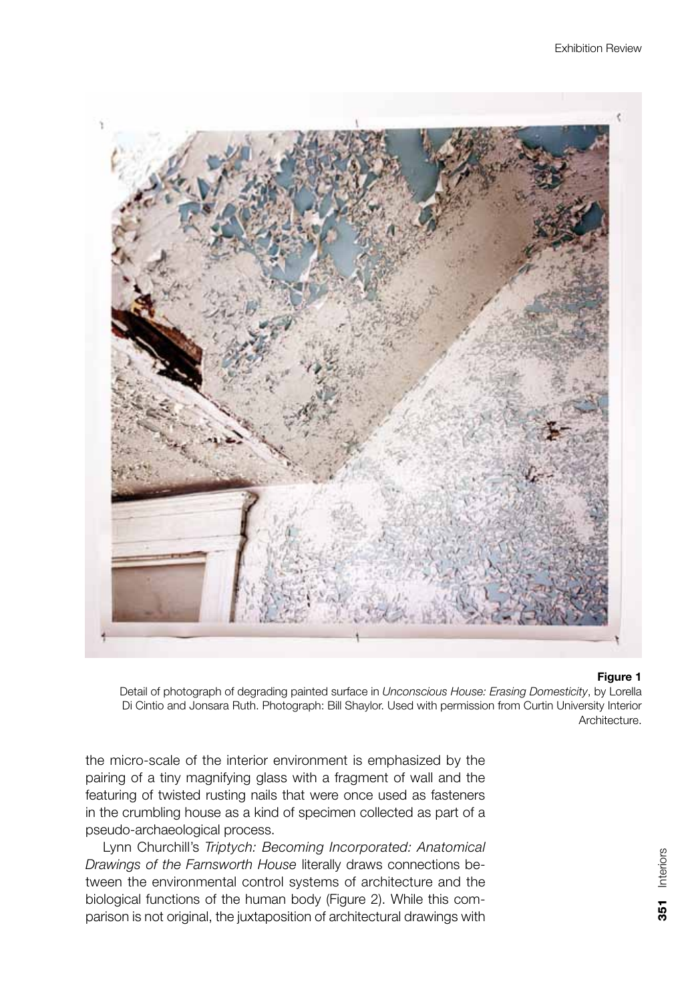

### Figure 1

Detail of photograph of degrading painted surface in Unconscious House: Erasing Domesticity, by Lorella Di Cintio and Jonsara Ruth. Photograph: Bill Shaylor. Used with permission from Curtin University Interior Architecture.

the micro-scale of the interior environment is emphasized by the pairing of a tiny magnifying glass with a fragment of wall and the featuring of twisted rusting nails that were once used as fasteners in the crumbling house as a kind of specimen collected as part of a pseudo-archaeological process.

Lynn Churchill's Triptych: Becoming Incorporated: Anatomical Drawings of the Farnsworth House literally draws connections between the environmental control systems of architecture and the biological functions of the human body (Figure 2). While this comparison is not original, the juxtaposition of architectural drawings with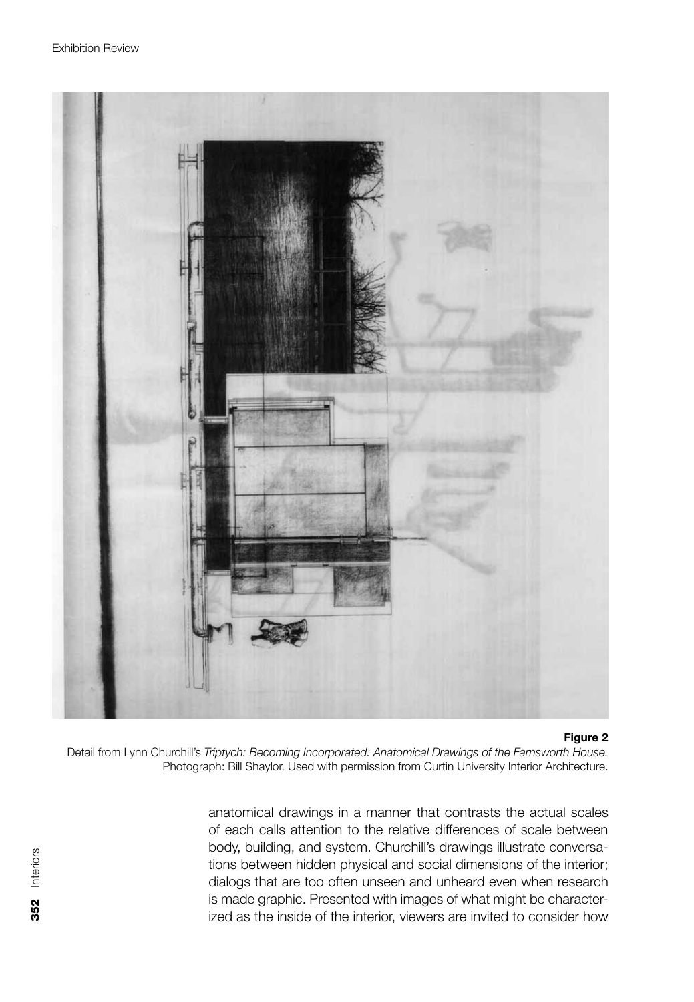

Figure 2

Detail from Lynn Churchill's Triptych: Becoming Incorporated: Anatomical Drawings of the Farnsworth House. Photograph: Bill Shaylor. Used with permission from Curtin University Interior Architecture.

anatomical drawings in a manner that contrasts the actual scales of each calls attention to the relative differences of scale between body, building, and system. Churchill's drawings illustrate conversations between hidden physical and social dimensions of the interior; dialogs that are too often unseen and unheard even when research is made graphic. Presented with images of what might be characterized as the inside of the interior, viewers are invited to consider how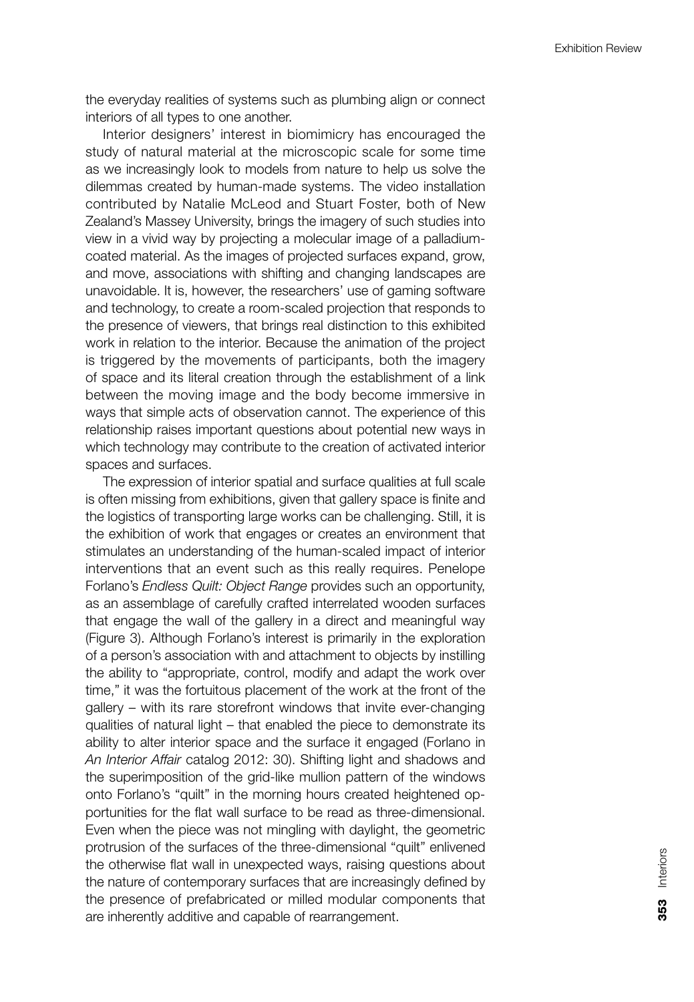the everyday realities of systems such as plumbing align or connect interiors of all types to one another.

Interior designers' interest in biomimicry has encouraged the study of natural material at the microscopic scale for some time as we increasingly look to models from nature to help us solve the dilemmas created by human-made systems. The video installation contributed by Natalie McLeod and Stuart Foster, both of New Zealand's Massey University, brings the imagery of such studies into view in a vivid way by projecting a molecular image of a palladiumcoated material. As the images of projected surfaces expand, grow, and move, associations with shifting and changing landscapes are unavoidable. It is, however, the researchers' use of gaming software and technology, to create a room-scaled projection that responds to the presence of viewers, that brings real distinction to this exhibited work in relation to the interior. Because the animation of the project is triggered by the movements of participants, both the imagery of space and its literal creation through the establishment of a link between the moving image and the body become immersive in ways that simple acts of observation cannot. The experience of this relationship raises important questions about potential new ways in which technology may contribute to the creation of activated interior spaces and surfaces.

The expression of interior spatial and surface qualities at full scale is often missing from exhibitions, given that gallery space is finite and the logistics of transporting large works can be challenging. Still, it is the exhibition of work that engages or creates an environment that stimulates an understanding of the human-scaled impact of interior interventions that an event such as this really requires. Penelope Forlano's Endless Quilt: Object Range provides such an opportunity, as an assemblage of carefully crafted interrelated wooden surfaces that engage the wall of the gallery in a direct and meaningful way (Figure 3). Although Forlano's interest is primarily in the exploration of a person's association with and attachment to objects by instilling the ability to "appropriate, control, modify and adapt the work over time," it was the fortuitous placement of the work at the front of the gallery – with its rare storefront windows that invite ever-changing qualities of natural light - that enabled the piece to demonstrate its ability to alter interior space and the surface it engaged (Forlano in An Interior Affair catalog 2012: 30). Shifting light and shadows and the superimposition of the grid-like mullion pattern of the windows onto Forlano's "quilt" in the morning hours created heightened opportunities for the flat wall surface to be read as three-dimensional. Even when the piece was not mingling with daylight, the geometric protrusion of the surfaces of the three-dimensional "quilt" enlivened the otherwise flat wall in unexpected ways, raising questions about the nature of contemporary surfaces that are increasingly defined by the presence of prefabricated or milled modular components that are inherently additive and capable of rearrangement.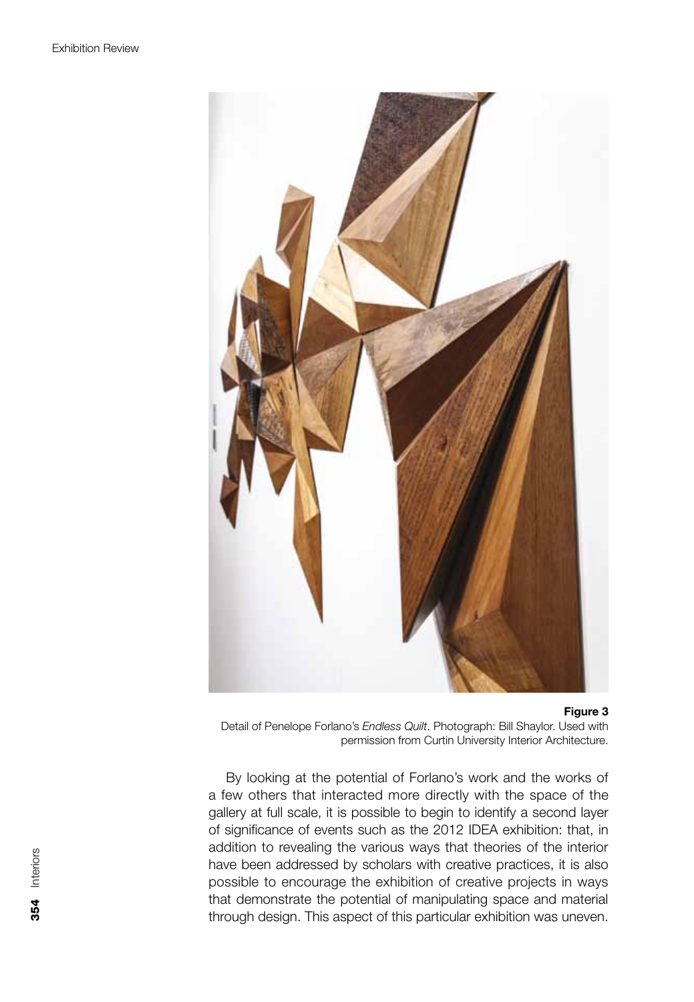

#### Figure 3

Detail of Penelope Forlano's Endless Quilt. Photograph: Bill Shaylor. Used with permission from Curtin University Interior Architecture.

By looking at the potential of Forlano's work and the works of a few others that interacted more directly with the space of the gallery at full scale, it is possible to begin to identify a second layer of significance of events such as the 2012 IDEA exhibition: that, in addition to revealing the various ways that theories of the interior have been addressed by scholars with creative practices, it is also possible to encourage the exhibition of creative projects in ways that demonstrate the potential of manipulating space and material through design. This aspect of this particular exhibition was uneven.